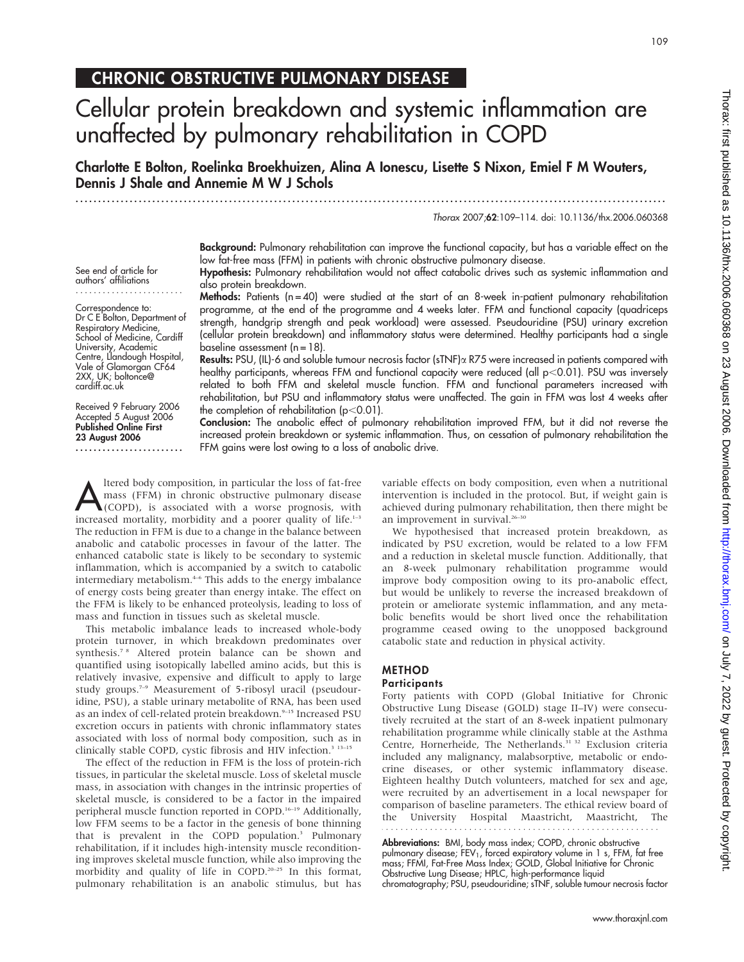Thorax: first published as 10.1136/th. Protected by 12.2022 by July 12.2022 by guest 2006. Downloadd from the maged from the 2022 by guest. Protected by copyright. Protected by copyright. Thorax: first published as 10.1136/thx.2006.060368 on 23 August 2006. Downloaded from http://thorax.bmj.com/ on July 7, 2022 by guest. Protected by copyright

# CHRONIC OBSTRUCTIVE PULMONARY DISEASE

# Cellular protein breakdown and systemic inflammation are unaffected by pulmonary rehabilitation in COPD

Charlotte E Bolton, Roelinka Broekhuizen, Alina A Ionescu, Lisette S Nixon, Emiel F M Wouters, Dennis J Shale and Annemie M W J Schols

...................................................................................................................................

Thorax 2007;62:109–114. doi: 10.1136/thx.2006.060368

Background: Pulmonary rehabilitation can improve the functional capacity, but has a variable effect on the low fat-free mass (FFM) in patients with chronic obstructive pulmonary disease.

Hypothesis: Pulmonary rehabilitation would not affect catabolic drives such as systemic inflammation and also protein breakdown.

Methods: Patients (n = 40) were studied at the start of an 8-week in-patient pulmonary rehabilitation programme, at the end of the programme and 4 weeks later. FFM and functional capacity (quadriceps strength, handgrip strength and peak workload) were assessed. Pseudouridine (PSU) urinary excretion (cellular protein breakdown) and inflammatory status were determined. Healthy participants had a single baseline assessment (n = 18).

Results: PSU, (IL)-6 and soluble tumour necrosis factor (sTNF)a R75 were increased in patients compared with healthy participants, whereas FFM and functional capacity were reduced (all  $p<0.01$ ). PSU was inversely related to both FFM and skeletal muscle function. FFM and functional parameters increased with rehabilitation, but PSU and inflammatory status were unaffected. The gain in FFM was lost 4 weeks after the completion of rehabilitation  $(p<0.01)$ .

Conclusion: The anabolic effect of pulmonary rehabilitation improved FFM, but it did not reverse the increased protein breakdown or systemic inflammation. Thus, on cessation of pulmonary rehabilitation the FFM gains were lost owing to a loss of anabolic drive.

Altered body composition, in particular the loss of fat-free<br>mass (FFM) in chronic obstructive pulmonary disease<br>(COPD), is associated with a worse prognosis, with<br>increased mortality morbidity and a poeter quality of life mass (FFM) in chronic obstructive pulmonary disease (COPD), is associated with a worse prognosis, with increased mortality, morbidity and a poorer quality of life. $1-3$ The reduction in FFM is due to a change in the balance between anabolic and catabolic processes in favour of the latter. The enhanced catabolic state is likely to be secondary to systemic inflammation, which is accompanied by a switch to catabolic intermediary metabolism.<sup>4-6</sup> This adds to the energy imbalance of energy costs being greater than energy intake. The effect on the FFM is likely to be enhanced proteolysis, leading to loss of mass and function in tissues such as skeletal muscle.

This metabolic imbalance leads to increased whole-body protein turnover, in which breakdown predominates over synthesis.<sup>7</sup> <sup>8</sup> Altered protein balance can be shown and quantified using isotopically labelled amino acids, but this is relatively invasive, expensive and difficult to apply to large study groups.<sup>7-9</sup> Measurement of 5-ribosyl uracil (pseudouridine, PSU), a stable urinary metabolite of RNA, has been used as an index of cell-related protein breakdown.<sup>9-15</sup> Increased PSU excretion occurs in patients with chronic inflammatory states associated with loss of normal body composition, such as in clinically stable COPD, cystic fibrosis and HIV infection.<sup>3</sup> 13-15

The effect of the reduction in FFM is the loss of protein-rich tissues, in particular the skeletal muscle. Loss of skeletal muscle mass, in association with changes in the intrinsic properties of skeletal muscle, is considered to be a factor in the impaired peripheral muscle function reported in COPD.16–19 Additionally, low FFM seems to be a factor in the genesis of bone thinning that is prevalent in the COPD population.<sup>3</sup> Pulmonary rehabilitation, if it includes high-intensity muscle reconditioning improves skeletal muscle function, while also improving the morbidity and quality of life in COPD.<sup>20-25</sup> In this format, pulmonary rehabilitation is an anabolic stimulus, but has

variable effects on body composition, even when a nutritional intervention is included in the protocol. But, if weight gain is achieved during pulmonary rehabilitation, then there might be an improvement in survival.<sup>26-30</sup>

We hypothesised that increased protein breakdown, as indicated by PSU excretion, would be related to a low FFM and a reduction in skeletal muscle function. Additionally, that an 8-week pulmonary rehabilitation programme would improve body composition owing to its pro-anabolic effect, but would be unlikely to reverse the increased breakdown of protein or ameliorate systemic inflammation, and any metabolic benefits would be short lived once the rehabilitation programme ceased owing to the unopposed background catabolic state and reduction in physical activity.

#### METHOD

#### **Participants**

Forty patients with COPD (Global Initiative for Chronic Obstructive Lung Disease (GOLD) stage II–IV) were consecutively recruited at the start of an 8-week inpatient pulmonary rehabilitation programme while clinically stable at the Asthma Centre, Hornerheide, The Netherlands.<sup>31 32</sup> Exclusion criteria included any malignancy, malabsorptive, metabolic or endocrine diseases, or other systemic inflammatory disease. Eighteen healthy Dutch volunteers, matched for sex and age, were recruited by an advertisement in a local newspaper for comparison of baseline parameters. The ethical review board of the University Hospital Maastricht, Maastricht, The 

Abbreviations: BMI, body mass index; COPD, chronic obstructive pulmonary disease; FEV<sub>1</sub>, forced expiratory volume in 1 s, FFM, fat free<br>mass; FFMI, Fat-Free Mass Index; GOLD, Global Initiative for Chronic Obstructive Lung Disease; HPLC, high-performance liquid chromatography; PSU, pseudouridine; sTNF, soluble tumour necrosis factor

Correspondence to: Dr C E Bolton, Department of Respiratory Medicine, School of Medicine, Cardiff University, Academic Centre, Llandough Hospital, Vale of Glamorgan CF64

See end of article for authors' affiliations ........................

2XX, UK; boltonce@ cardiff.ac.uk

Received 9 February 2006 Accepted 5 August 2006 Published Online First 23 August 2006 ........................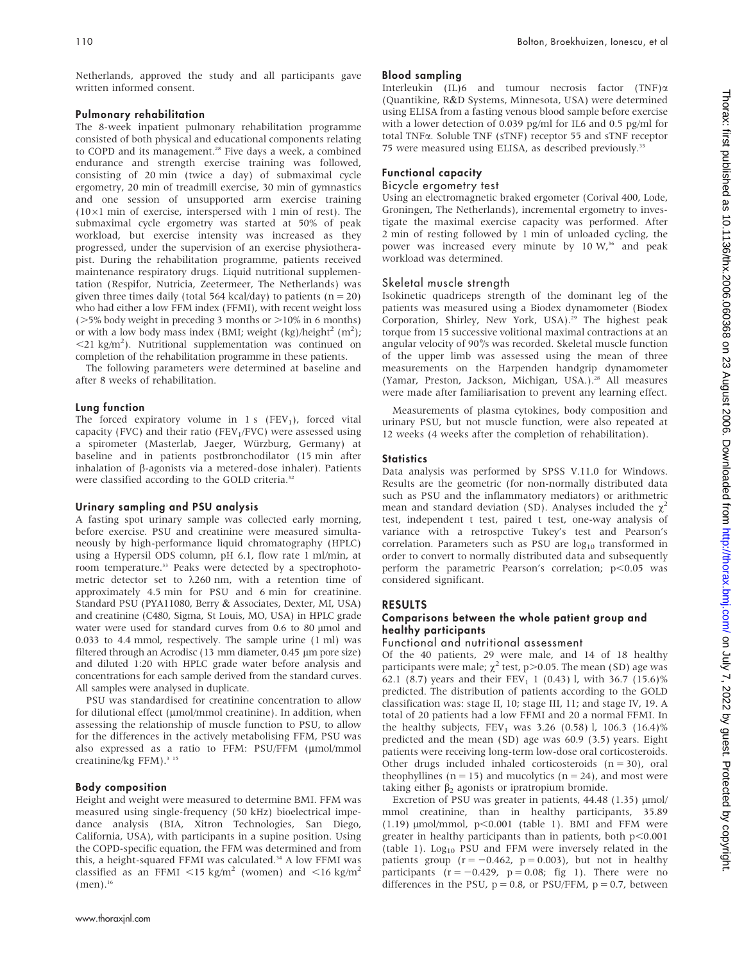Netherlands, approved the study and all participants gave written informed consent.

#### Pulmonary rehabilitation

The 8-week inpatient pulmonary rehabilitation programme consisted of both physical and educational components relating to COPD and its management.<sup>28</sup> Five days a week, a combined endurance and strength exercise training was followed, consisting of 20 min (twice a day) of submaximal cycle ergometry, 20 min of treadmill exercise, 30 min of gymnastics and one session of unsupported arm exercise training  $(10\times1$  min of exercise, interspersed with 1 min of rest). The submaximal cycle ergometry was started at 50% of peak workload, but exercise intensity was increased as they progressed, under the supervision of an exercise physiotherapist. During the rehabilitation programme, patients received maintenance respiratory drugs. Liquid nutritional supplementation (Respifor, Nutricia, Zeetermeer, The Netherlands) was given three times daily (total 564 kcal/day) to patients ( $n = 20$ ) who had either a low FFM index (FFMI), with recent weight loss ( $>5\%$  body weight in preceding 3 months or  $>10\%$  in 6 months) or with a low body mass index (BMI; weight (kg)/height<sup>2</sup> (m<sup>2</sup>);  $\langle 21 \text{ kg/m}^2$ ). Nutritional supplementation was continued on completion of the rehabilitation programme in these patients.

The following parameters were determined at baseline and after 8 weeks of rehabilitation.

#### Lung function

The forced expiratory volume in 1 s ( $FEV<sub>1</sub>$ ), forced vital capacity (FVC) and their ratio (FEV $_1$ /FVC) were assessed using a spirometer (Masterlab, Jaeger, Wu¨rzburg, Germany) at baseline and in patients postbronchodilator (15 min after inhalation of  $\beta$ -agonists via a metered-dose inhaler). Patients were classified according to the GOLD criteria.<sup>32</sup>

#### Urinary sampling and PSU analysis

A fasting spot urinary sample was collected early morning, before exercise. PSU and creatinine were measured simultaneously by high-performance liquid chromatography (HPLC) using a Hypersil ODS column, pH 6.1, flow rate 1 ml/min, at room temperature.<sup>33</sup> Peaks were detected by a spectrophotometric detector set to  $\lambda$ 260 nm, with a retention time of approximately 4.5 min for PSU and 6 min for creatinine. Standard PSU (PYA11080, Berry & Associates, Dexter, MI, USA) and creatinine (C480, Sigma, St Louis, MO, USA) in HPLC grade water were used for standard curves from 0.6 to 80 µmol and 0.033 to 4.4 mmol, respectively. The sample urine (1 ml) was filtered through an Acrodisc (13 mm diameter, 0.45 µm pore size) and diluted 1:20 with HPLC grade water before analysis and concentrations for each sample derived from the standard curves. All samples were analysed in duplicate.

PSU was standardised for creatinine concentration to allow for dilutional effect (µmol/mmol creatinine). In addition, when assessing the relationship of muscle function to PSU, to allow for the differences in the actively metabolising FFM, PSU was also expressed as a ratio to FFM:  $PSU/FFM$  ( $\mu$ mol/mmol creatinine/kg FFM).<sup>3 15</sup>

#### Body composition

Height and weight were measured to determine BMI. FFM was measured using single-frequency (50 kHz) bioelectrical impedance analysis (BIA, Xitron Technologies, San Diego, California, USA), with participants in a supine position. Using the COPD-specific equation, the FFM was determined and from this, a height-squared FFMI was calculated.<sup>34</sup> A low FFMI was classified as an FFMI <15 kg/m<sup>2</sup> (women) and <16 kg/m<sup>2</sup>  $(men).$ <sup>16</sup>

### Blood sampling

Interleukin (IL)6 and tumour necrosis factor  $(TNF)\alpha$ (Quantikine, R&D Systems, Minnesota, USA) were determined using ELISA from a fasting venous blood sample before exercise with a lower detection of 0.039 pg/ml for IL6 and 0.5 pg/ml for total TNFa. Soluble TNF (sTNF) receptor 55 and sTNF receptor 75 were measured using ELISA, as described previously.35

#### Functional capacity

#### Bicycle ergometry test

Using an electromagnetic braked ergometer (Corival 400, Lode, Groningen, The Netherlands), incremental ergometry to investigate the maximal exercise capacity was performed. After 2 min of resting followed by 1 min of unloaded cycling, the power was increased every minute by 10 W,<sup>36</sup> and peak workload was determined.

#### Skeletal muscle strength

Isokinetic quadriceps strength of the dominant leg of the patients was measured using a Biodex dynamometer (Biodex Corporation, Shirley, New York, USA).<sup>29</sup> The highest peak torque from 15 successive volitional maximal contractions at an angular velocity of 90˚/s was recorded. Skeletal muscle function of the upper limb was assessed using the mean of three measurements on the Harpenden handgrip dynamometer (Yamar, Preston, Jackson, Michigan, USA.).<sup>28</sup> All measures were made after familiarisation to prevent any learning effect.

Measurements of plasma cytokines, body composition and urinary PSU, but not muscle function, were also repeated at 12 weeks (4 weeks after the completion of rehabilitation).

#### **Statistics**

Data analysis was performed by SPSS V.11.0 for Windows. Results are the geometric (for non-normally distributed data such as PSU and the inflammatory mediators) or arithmetric mean and standard deviation (SD). Analyses included the  $\chi^2$ test, independent t test, paired t test, one-way analysis of variance with a retrospctive Tukey's test and Pearson's correlation. Parameters such as PSU are  $log_{10}$  transformed in order to convert to normally distributed data and subsequently perform the parametric Pearson's correlation;  $p<0.05$  was considered significant.

#### RESULTS

#### Comparisons between the whole patient group and healthy participants

#### Functional and nutritional assessment

Of the 40 patients, 29 were male, and 14 of 18 healthy participants were male;  $\chi^2$  test, p>0.05. The mean (SD) age was 62.1 (8.7) years and their  $FEV_1$  1 (0.43) l, with 36.7 (15.6)% predicted. The distribution of patients according to the GOLD classification was: stage II, 10; stage III, 11; and stage IV, 19. A total of 20 patients had a low FFMI and 20 a normal FFMI. In the healthy subjects,  $FEV_1$  was 3.26 (0.58) l, 106.3 (16.4)% predicted and the mean (SD) age was 60.9 (3.5) years. Eight patients were receiving long-term low-dose oral corticosteroids. Other drugs included inhaled corticosteroids  $(n = 30)$ , oral theophyllines ( $n = 15$ ) and mucolytics ( $n = 24$ ), and most were taking either  $\beta_2$  agonists or ipratropium bromide.

Excretion of PSU was greater in patients,  $44.48$  (1.35)  $\mu$ mol/ mmol creatinine, than in healthy participants, 35.89  $(1.19)$  µmol/mmol,  $p<0.001$  (table 1). BMI and FFM were greater in healthy participants than in patients, both  $p<0.001$ (table 1).  $Log_{10}$  PSU and FFM were inversely related in the patients group  $(r = -0.462, p = 0.003)$ , but not in healthy participants  $(r = -0.429, p = 0.08;$  fig 1). There were no differences in the PSU,  $p = 0.8$ , or PSU/FFM,  $p = 0.7$ , between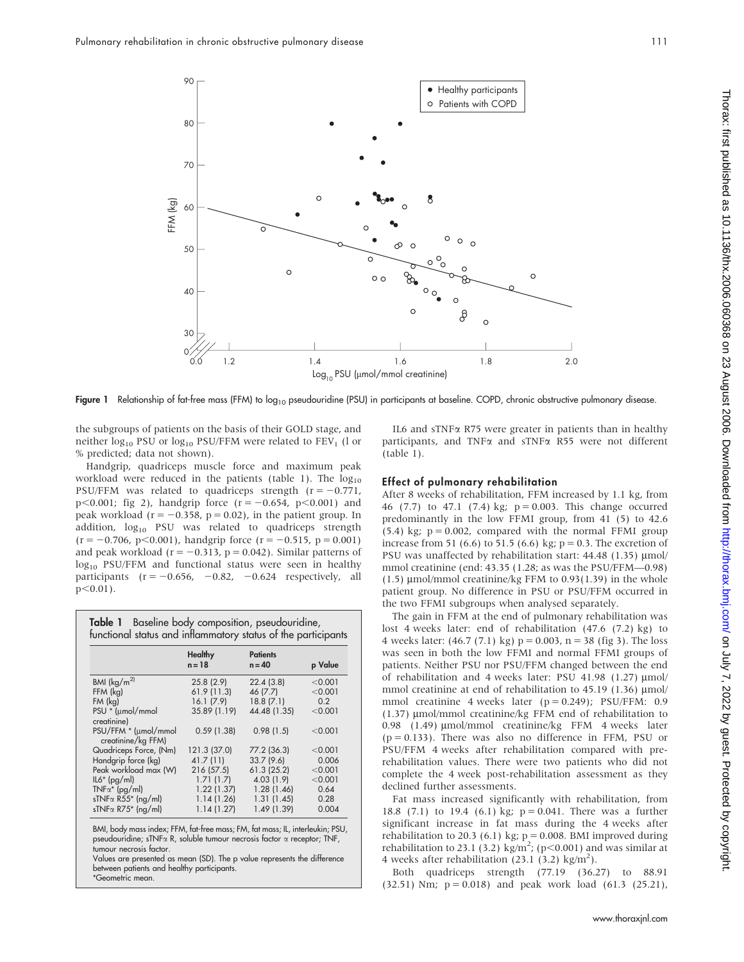

Figure 1 Relationship of fat-free mass (FFM) to log<sub>10</sub> pseudouridine (PSU) in participants at baseline. COPD, chronic obstructive pulmonary disease.

the subgroups of patients on the basis of their GOLD stage, and neither  $log_{10}$  PSU or  $log_{10}$  PSU/FFM were related to FEV<sub>1</sub> (1 or % predicted; data not shown).

Handgrip, quadriceps muscle force and maximum peak workload were reduced in the patients (table 1). The  $log_{10}$ PSU/FFM was related to quadriceps strength  $(r = -0.771$ , p $0.001$ ; fig 2), handgrip force (r = -0.654, p $0.001$ ) and peak workload ( $r = -0.358$ ,  $p = 0.02$ ), in the patient group. In addition,  $log_{10}$  PSU was related to quadriceps strength  $(r = -0.706, p<0.001)$ , handgrip force  $(r = -0.515, p = 0.001)$ and peak workload ( $r = -0.313$ ,  $p = 0.042$ ). Similar patterns of  $log_{10}$  PSU/FFM and functional status were seen in healthy participants  $(r = -0.656, -0.82, -0.624$  respectively, all  $p<0.01$ ).

Table 1 Baseline body composition, pseudouridine,

| <b>Rable 1</b> Daseline boay composition, pseudourialitie,<br>functional status and inflammatory status of the participants |                     |                             |         |
|-----------------------------------------------------------------------------------------------------------------------------|---------------------|-----------------------------|---------|
|                                                                                                                             | Healthy<br>$n = 18$ | <b>Patients</b><br>$n = 40$ | p Value |
| BMI $(kq/m2)$                                                                                                               | 25.8(2.9)           | 22.4(3.8)                   | < 0.001 |
| $FFM$ ( $kg$ )                                                                                                              | 61.9(11.3)          | 46 (7.7)                    | < 0.001 |
| $FM$ ( $kg$ )                                                                                                               | 16.1(7.9)           | 18.8(7.1)                   | 0.2     |
| PSU * (umol/mmol<br>creatinine)                                                                                             | 35.89 (1.19)        | 44.48 (1.35)                | < 0.001 |
| PSU/FFM * (µmol/mmol<br>creatinine/kg FFM)                                                                                  | 0.59(1.38)          | 0.98(1.5)                   | < 0.001 |
| Quadriceps Force, (Nm)                                                                                                      | 121.3 (37.0)        | 77.2 (36.3)                 | < 0.001 |
| Handgrip force (kg)                                                                                                         | 41.7(11)            | 33.7(9.6)                   | 0.006   |
| Peak workload max (W)                                                                                                       | 216(57.5)           | 61.3(25.2)                  | < 0.001 |
| $IL6*$ (pg/ml)                                                                                                              | 1.71(1.7)           | 4.03(1.9)                   | < 0.001 |
| TNF $\alpha^*$ (pg/ml)                                                                                                      | 1.22(1.37)          | 1.28(1.46)                  | 0.64    |
| sTNFα R55* (ng/ml)                                                                                                          | 1.14(1.26)          | 1.31(1.45)                  | 0.28    |
| $sTNF\alpha$ R75* (ng/ml)                                                                                                   | 1.14(1.27)          | 1.49(1.39)                  | 0.004   |

BMI, body mass index; FFM, fat-free mass; FM, fat mass; IL, interleukin; PSU, pseudouridine; sTNFa R, soluble tumour necrosis factor a receptor; TNF, tumour necrosis factor.

Values are presented as mean (SD). The p value represents the difference between patients and healthy participants. \*Geometric mean.

IL6 and  $sTNF\alpha$  R75 were greater in patients than in healthy participants, and TNF $\alpha$  and sTNF $\alpha$  R55 were not different (table 1).

#### Effect of pulmonary rehabilitation

After 8 weeks of rehabilitation, FFM increased by 1.1 kg, from 46 (7.7) to 47.1 (7.4) kg;  $p = 0.003$ . This change occurred predominantly in the low FFMI group, from 41 (5) to 42.6  $(5.4)$  kg;  $p = 0.002$ , compared with the normal FFMI group increase from 51 (6.6) to 51.5 (6.6) kg;  $p = 0.3$ . The excretion of PSU was unaffected by rehabilitation start:  $44.48$  (1.35)  $\mu$ mol/ mmol creatinine (end: 43.35 (1.28; as was the PSU/FFM—0.98) (1.5)  $\mu$ mol/mmol creatinine/kg FFM to 0.93(1.39) in the whole patient group. No difference in PSU or PSU/FFM occurred in the two FFMI subgroups when analysed separately.

The gain in FFM at the end of pulmonary rehabilitation was lost 4 weeks later: end of rehabilitation (47.6 (7.2) kg) to 4 weeks later:  $(46.7 (7.1) \text{ kg}) p = 0.003$ ,  $n = 38$  (fig 3). The loss was seen in both the low FFMI and normal FFMI groups of patients. Neither PSU nor PSU/FFM changed between the end of rehabilitation and 4 weeks later: PSU 41.98 (1.27)  $\mu$ mol/ mmol creatinine at end of rehabilitation to 45.19 (1.36)  $\mu$ mol/ mmol creatinine 4 weeks later ( $p = 0.249$ ); PSU/FFM: 0.9 (1.37)  $\mu$ mol/mmol creatinine/kg FFM end of rehabilitation to 0.98 (1.49) µmol/mmol creatinine/kg FFM 4 weeks later  $(p = 0.133)$ . There was also no difference in FFM, PSU or PSU/FFM 4 weeks after rehabilitation compared with prerehabilitation values. There were two patients who did not complete the 4 week post-rehabilitation assessment as they declined further assessments.

Fat mass increased significantly with rehabilitation, from 18.8 (7.1) to 19.4 (6.1) kg;  $p = 0.041$ . There was a further significant increase in fat mass during the 4 weeks after rehabilitation to 20.3 (6.1) kg;  $p = 0.008$ . BMI improved during rehabilitation to 23.1 (3.2) kg/m<sup>2</sup>; (p<0.001) and was similar at 4 weeks after rehabilitation  $(23.1 \overline{)3.2)$  kg/m<sup>2</sup>).

Both quadriceps strength (77.19 (36.27) to 88.91  $(32.51)$  Nm;  $p = 0.018$ ) and peak work load  $(61.3 \t(25.21))$ ,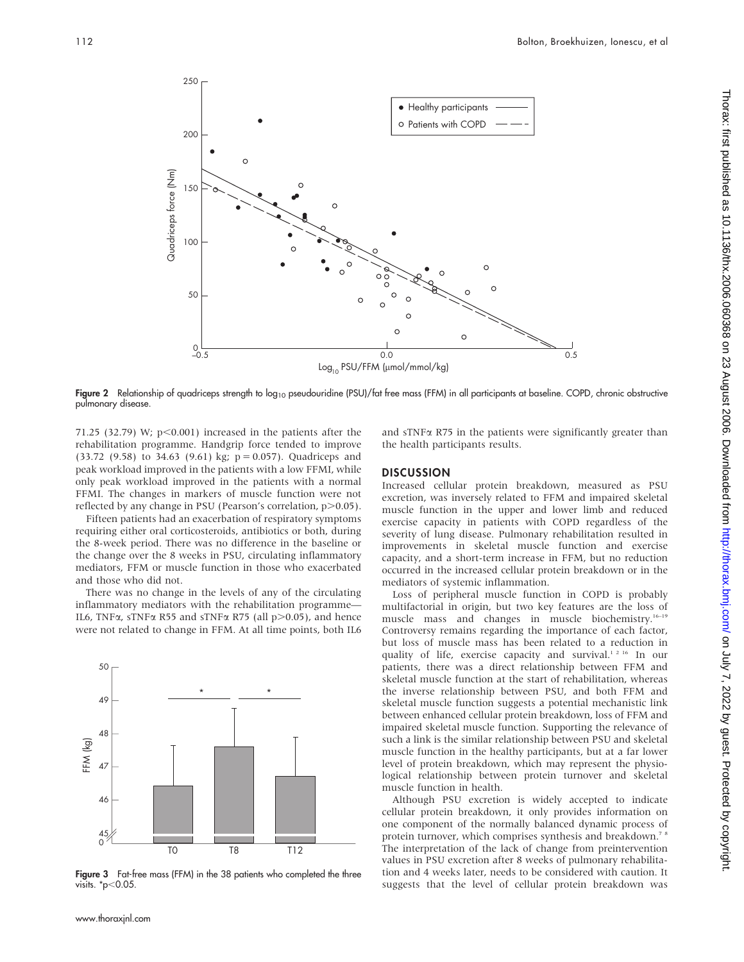

Figure 2 Relationship of quadriceps strength to log<sub>10</sub> pseudouridine (PSU)/fat free mass (FFM) in all participants at baseline. COPD, chronic obstructive pulmonary disease.

71.25 (32.79) W;  $p<0.001$ ) increased in the patients after the rehabilitation programme. Handgrip force tended to improve  $(33.72 \ (9.58) \text{ to } 34.63 \ (9.61) \text{ kg}; \ p = 0.057)$ . Quadriceps and peak workload improved in the patients with a low FFMI, while only peak workload improved in the patients with a normal FFMI. The changes in markers of muscle function were not reflected by any change in PSU (Pearson's correlation,  $p > 0.05$ ).

Fifteen patients had an exacerbation of respiratory symptoms requiring either oral corticosteroids, antibiotics or both, during the 8-week period. There was no difference in the baseline or the change over the 8 weeks in PSU, circulating inflammatory mediators, FFM or muscle function in those who exacerbated and those who did not.

There was no change in the levels of any of the circulating inflammatory mediators with the rehabilitation programme— IL6, TNF $\alpha$ , sTNF $\alpha$  R55 and sTNF $\alpha$  R75 (all p $>$ 0.05), and hence were not related to change in FFM. At all time points, both IL6



Figure 3 Fat-free mass (FFM) in the 38 patients who completed the three visits.  $*p<0.05$ .

and sTNF $\alpha$  R75 in the patients were significantly greater than the health participants results.

#### **DISCUSSION**

Increased cellular protein breakdown, measured as PSU excretion, was inversely related to FFM and impaired skeletal muscle function in the upper and lower limb and reduced exercise capacity in patients with COPD regardless of the severity of lung disease. Pulmonary rehabilitation resulted in improvements in skeletal muscle function and exercise capacity, and a short-term increase in FFM, but no reduction occurred in the increased cellular protein breakdown or in the mediators of systemic inflammation.

Loss of peripheral muscle function in COPD is probably multifactorial in origin, but two key features are the loss of muscle mass and changes in muscle biochemistry.<sup>16-19</sup> Controversy remains regarding the importance of each factor, but loss of muscle mass has been related to a reduction in quality of life, exercise capacity and survival.<sup>1 2 16</sup> In our patients, there was a direct relationship between FFM and skeletal muscle function at the start of rehabilitation, whereas the inverse relationship between PSU, and both FFM and skeletal muscle function suggests a potential mechanistic link between enhanced cellular protein breakdown, loss of FFM and impaired skeletal muscle function. Supporting the relevance of such a link is the similar relationship between PSU and skeletal muscle function in the healthy participants, but at a far lower level of protein breakdown, which may represent the physiological relationship between protein turnover and skeletal muscle function in health.

Although PSU excretion is widely accepted to indicate cellular protein breakdown, it only provides information on one component of the normally balanced dynamic process of protein turnover, which comprises synthesis and breakdown.<sup>7</sup> <sup>8</sup> The interpretation of the lack of change from preintervention values in PSU excretion after 8 weeks of pulmonary rehabilitation and 4 weeks later, needs to be considered with caution. It suggests that the level of cellular protein breakdown was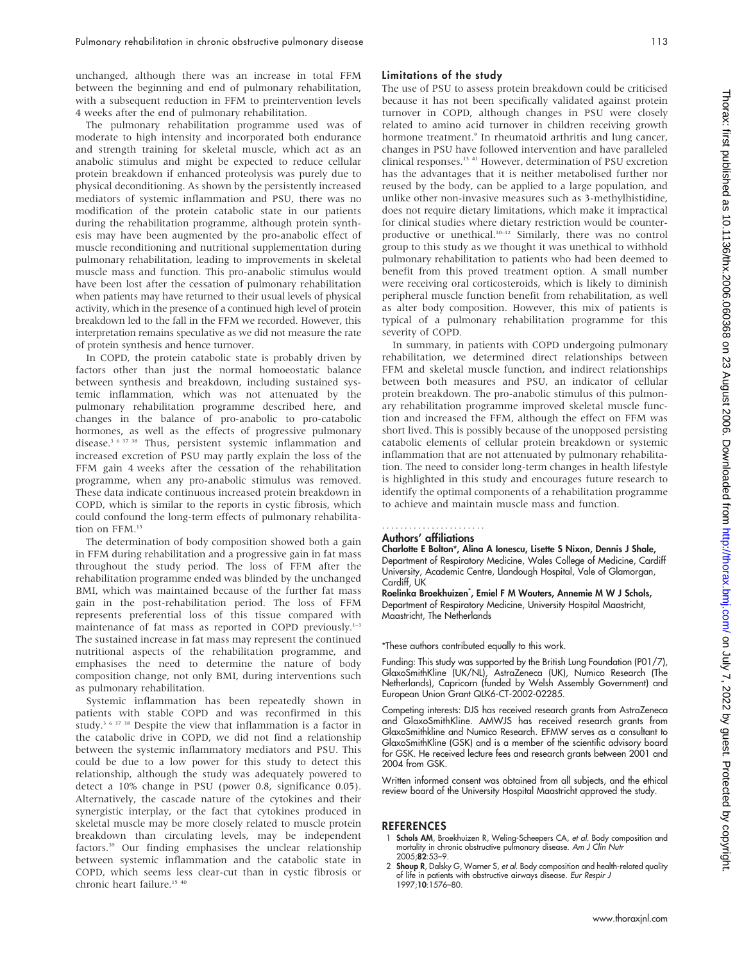unchanged, although there was an increase in total FFM between the beginning and end of pulmonary rehabilitation, with a subsequent reduction in FFM to preintervention levels 4 weeks after the end of pulmonary rehabilitation.

The pulmonary rehabilitation programme used was of moderate to high intensity and incorporated both endurance and strength training for skeletal muscle, which act as an anabolic stimulus and might be expected to reduce cellular protein breakdown if enhanced proteolysis was purely due to physical deconditioning. As shown by the persistently increased mediators of systemic inflammation and PSU, there was no modification of the protein catabolic state in our patients during the rehabilitation programme, although protein synthesis may have been augmented by the pro-anabolic effect of muscle reconditioning and nutritional supplementation during pulmonary rehabilitation, leading to improvements in skeletal muscle mass and function. This pro-anabolic stimulus would have been lost after the cessation of pulmonary rehabilitation when patients may have returned to their usual levels of physical activity, which in the presence of a continued high level of protein breakdown led to the fall in the FFM we recorded. However, this interpretation remains speculative as we did not measure the rate of protein synthesis and hence turnover.

In COPD, the protein catabolic state is probably driven by factors other than just the normal homoeostatic balance between synthesis and breakdown, including sustained systemic inflammation, which was not attenuated by the pulmonary rehabilitation programme described here, and changes in the balance of pro-anabolic to pro-catabolic hormones, as well as the effects of progressive pulmonary disease.3 6 37 38 Thus, persistent systemic inflammation and increased excretion of PSU may partly explain the loss of the FFM gain 4 weeks after the cessation of the rehabilitation programme, when any pro-anabolic stimulus was removed. These data indicate continuous increased protein breakdown in COPD, which is similar to the reports in cystic fibrosis, which could confound the long-term effects of pulmonary rehabilitation on FFM.15

The determination of body composition showed both a gain in FFM during rehabilitation and a progressive gain in fat mass throughout the study period. The loss of FFM after the rehabilitation programme ended was blinded by the unchanged BMI, which was maintained because of the further fat mass gain in the post-rehabilitation period. The loss of FFM represents preferential loss of this tissue compared with maintenance of fat mass as reported in COPD previously.<sup>1-3</sup> The sustained increase in fat mass may represent the continued nutritional aspects of the rehabilitation programme, and emphasises the need to determine the nature of body composition change, not only BMI, during interventions such as pulmonary rehabilitation.

Systemic inflammation has been repeatedly shown in patients with stable COPD and was reconfirmed in this study.<sup>3 6 37 38</sup> Despite the view that inflammation is a factor in the catabolic drive in COPD, we did not find a relationship between the systemic inflammatory mediators and PSU. This could be due to a low power for this study to detect this relationship, although the study was adequately powered to detect a 10% change in PSU (power 0.8, significance 0.05). Alternatively, the cascade nature of the cytokines and their synergistic interplay, or the fact that cytokines produced in skeletal muscle may be more closely related to muscle protein breakdown than circulating levels, may be independent factors.39 Our finding emphasises the unclear relationship between systemic inflammation and the catabolic state in COPD, which seems less clear-cut than in cystic fibrosis or chronic heart failure.<sup>15 40</sup>

#### Limitations of the study

The use of PSU to assess protein breakdown could be criticised because it has not been specifically validated against protein turnover in COPD, although changes in PSU were closely related to amino acid turnover in children receiving growth hormone treatment.<sup>9</sup> In rheumatoid arthritis and lung cancer, changes in PSU have followed intervention and have paralleled clinical responses.13 41 However, determination of PSU excretion has the advantages that it is neither metabolised further nor reused by the body, can be applied to a large population, and unlike other non-invasive measures such as 3-methylhistidine, does not require dietary limitations, which make it impractical for clinical studies where dietary restriction would be counterproductive or unethical.<sup>10-12</sup> Similarly, there was no control group to this study as we thought it was unethical to withhold pulmonary rehabilitation to patients who had been deemed to benefit from this proved treatment option. A small number were receiving oral corticosteroids, which is likely to diminish peripheral muscle function benefit from rehabilitation, as well as alter body composition. However, this mix of patients is typical of a pulmonary rehabilitation programme for this severity of COPD.

In summary, in patients with COPD undergoing pulmonary rehabilitation, we determined direct relationships between FFM and skeletal muscle function, and indirect relationships between both measures and PSU, an indicator of cellular protein breakdown. The pro-anabolic stimulus of this pulmonary rehabilitation programme improved skeletal muscle function and increased the FFM, although the effect on FFM was short lived. This is possibly because of the unopposed persisting catabolic elements of cellular protein breakdown or systemic inflammation that are not attenuated by pulmonary rehabilitation. The need to consider long-term changes in health lifestyle is highlighted in this study and encourages future research to identify the optimal components of a rehabilitation programme to achieve and maintain muscle mass and function.

#### Authors' affiliations .......................

Charlotte E Bolton\*, Alina A Ionescu, Lisette S Nixon, Dennis J Shale, Department of Respiratory Medicine, Wales College of Medicine, Cardiff University, Academic Centre, Llandough Hospital, Vale of Glamorgan, Cardiff, UK

Roelinka Broekhuizen\* , Emiel F M Wouters, Annemie M W J Schols, Department of Respiratory Medicine, University Hospital Maastricht, Maastricht, The Netherlands

\*These authors contributed equally to this work.

Funding: This study was supported by the British Lung Foundation (P01/7), GlaxoSmithKline (UK/NL), AstraZeneca (UK), Numico Research (The Netherlands), Capricorn (funded by Welsh Assembly Government) and European Union Grant QLK6-CT-2002-02285.

Competing interests: DJS has received research grants from AstraZeneca and GlaxoSmithKline. AMWJS has received research grants from GlaxoSmithkline and Numico Research. EFMW serves as a consultant to GlaxoSmithKline (GSK) and is a member of the scientific advisory board for GSK. He received lecture fees and research grants between 2001 and 2004 from GSK.

Written informed consent was obtained from all subjects, and the ethical review board of the University Hospital Maastricht approved the study.

#### **REFERENCES**

- 1 Schols AM, Broekhuizen R, Weling-Scheepers CA, et al. Body composition and mortality in chronic obstructive pulmonary disease. Am J Clin Nutr 2005;82:53–9.
- 2 Shoup R, Dalsky G, Warner S, et al. Body composition and health-related quality of life in patients with obstructive airways disease. Eur Respir J 1997;10:1576–80.

Thora

| Th) r3V: first n: hirsh as 10 11 126.#FV 2006 060268 an 23 Ailaiset 2006. Devinioadad from F#n:/#FarmsV Fmianm/ /<br>ואו פיינו האינו וייסטורי הייסטורי הייסטורי המאמיני האינו האינו האינו האינו האינו האינו האינו האינו האינו האינו |
|-------------------------------------------------------------------------------------------------------------------------------------------------------------------------------------------------------------------------------------|
|                                                                                                                                                                                                                                     |
|                                                                                                                                                                                                                                     |
|                                                                                                                                                                                                                                     |